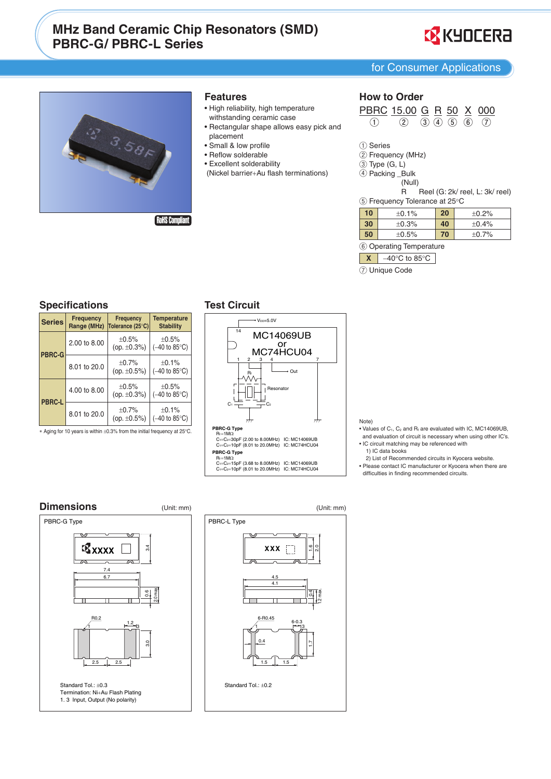# **MHz Band Ceramic Chip Resonators (SMD) PBRC-G/PBRC-L Series**





#### **Features**

- · High reliability, high temperature withstanding ceramic case
- Rectangular shape allows easy pick and placement
- · Small & low profile
- Reflow solderable
- Excellent solderability
- (Nickel barrier+Au flash terminations)

## **How to Order**

 $\frac{\text{PBRC}}{()}\ \frac{15.00}{()}\ \frac{\text{G}}{()}\ \frac{\text{R}}{()}\ \frac{50}{()}\ \frac{\text{X}}{()}\ \frac{000}{()}$ 

1) Series

- 2 Frequency (MHz)
- $\overline{3}$  Type  $(G, L)$
- 4 Packing \_Bulk (Null)

Reel (G: 2k/ reel, L: 3k/ reel)

 $\mathsf{R}$ 5 Frequency Tolerance at 25°C

| 10 | ±0.1%       | 20 | ±0.2%   |
|----|-------------|----|---------|
| 30 | ±0.3%       | 40 | ±0.4%   |
| 50 | $\pm 0.5\%$ | 70 | $+0.7%$ |

6 Operating Temperature

 $\begin{array}{|c|c|c|c|}\hline \textbf{X} & -40^{\circ}\text{C} & \text{to} & 85^{\circ}\text{C} \\\hline \end{array}$ 

7) Unique Code

## **Specifications**

| <b>Series</b> | <b>Frequency</b><br>Range (MHz) | <b>Frequency</b><br>Tolerance (25°C) | <b>Temperature</b><br><b>Stability</b>            |
|---------------|---------------------------------|--------------------------------------|---------------------------------------------------|
| <b>PBRC-G</b> | 2.00 to 8.00                    | $+0.5%$<br>(op. $\pm 0.3\%$ )        | $+0.5%$<br>$(-40 \text{ to } 85^{\circ}\text{C})$ |
|               | 8.01 to 20.0                    | $+0.7%$<br>(op. $\pm 0.5\%$ )        | $+0.1%$<br>$(-40 \text{ to } 85^{\circ}\text{C})$ |
| <b>PBRC-L</b> | 4.00 to 8.00                    | $+0.5%$<br>(op. $\pm 0.3\%$ )        | $+0.5%$<br>$(-40 \text{ to } 85^{\circ}\text{C})$ |
|               | 8.01 to 20.0                    | $+0.7%$<br>(op. $\pm 0.5\%$ )        | $+0.1%$<br>$(-40 \text{ to } 85^{\circ}\text{C})$ |

\* Aging for 10 years is within ±0.3% from the initial frequency at 25°C.

## **Test Circuit**



Note)

- Values of  $C_1$ ,  $C_2$  and  $R_f$  are evaluated with IC, MC14069UB, and evaluation of circuit is necessary when using other IC's.
- . IC circuit matching may be referenced with 1) IC data books
- 2) List of Recommended circuits in Kyocera website.
- Please contact IC manufacturer or Kyocera when there are<br>difficulties in finding recommended circuits.



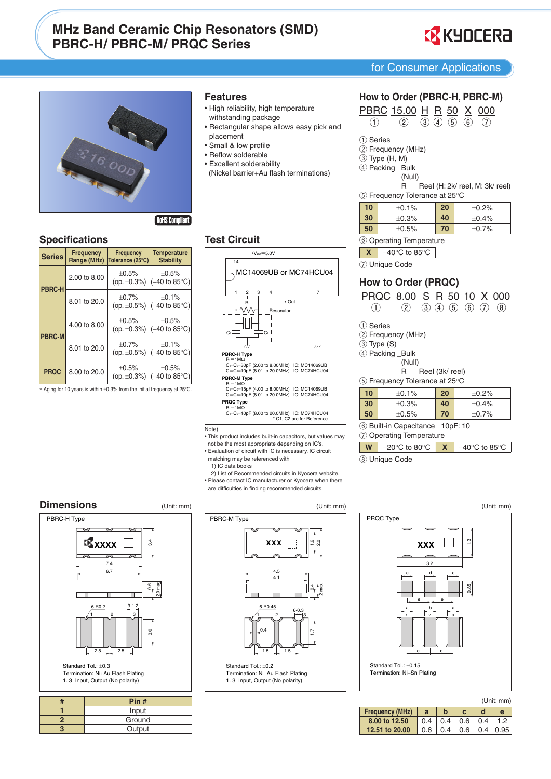# **MHz Band Ceramic Chip Resonators (SMD) PBRC-H/PBRC-M/PROC Series**



for Consumer Applications



**RoHS Complian** 

## **Specifications**

| <b>Series</b> | <b>Frequency</b><br>Range (MHz) | <b>Frequency</b><br>Tolerance (25°C) |                                                 |
|---------------|---------------------------------|--------------------------------------|-------------------------------------------------|
| PBRC-H        | 2.00 to 8.00                    | $+0.5%$<br>(op. $\pm 0.3%$ )         | ±0.5%<br>$(-40 \text{ to } 85^{\circ}\text{C})$ |
|               | 8.01 to 20.0                    | $+0.7%$<br>(op. $\pm 0.5\%$ )        | ±0.1%<br>$(-40 \text{ to } 85^{\circ}\text{C})$ |
| <b>PBRC-M</b> | 4.00 to 8.00                    | $\pm 0.5\%$<br>(op. $\pm 0.3\%$ )    | ±0.5%<br>$(-40 \text{ to } 85^{\circ}\text{C})$ |
|               | 8.01 to 20.0                    | $+0.7%$<br>(op. $\pm 0.5\%$ )        | ±0.1%<br>$(-40 \text{ to } 85^{\circ}\text{C})$ |
| <b>PRQC</b>   | 8.00 to 20.0                    | ±0.5%<br>(op. $\pm 0.3\%$ )          | ±0.5%<br>$(-40 \text{ to } 85^{\circ}\text{C})$ |

\* Aging for 10 years is within ±0.3% from the initial frequency at 25°C.

## **Features**

- · High reliability, high temperature withstanding package
- · Rectangular shape allows easy pick and placement
- · Small & low profile
- Reflow solderable
- Excellent solderability
- (Nickel barrier+Au flash terminations)

## **Test Circuit**



#### $\overline{\text{Note}}$

(Unit: mm)

. This product includes built-in capacitors, but values may not be the most appropriate depending on IC's.

· Evaluation of circuit with IC is necessary. IC circuit matching may be referenced with

- 1) IC data books
- 
- 2) List of Recommended circuits in Kyocera website. · Please contact IC manufacturer or Kyocera when there are difficulties in finding recommended circuits.

## **Dimensions**



1.3 Input, Output (No polarity)

|  | Pin #           |  |  |
|--|-----------------|--|--|
|  | Input<br>Ground |  |  |
|  |                 |  |  |
|  | Output          |  |  |

(Unit: mm) PBRC-M Type **XXX**  $-R0.45$ Standard Tol: +0.2

Termination: Ni+Au Flash Plating 1.3 Input, Output (No polarity)

## How to Order (PBRC-H, PBRC-M)

**PBRC** 15.00 H R 50 X 000<br>
1 2 3 4 5 6 7

- 1 Series
- 2 Frequency (MHz)
- $(3)$  Type  $(H, M)$
- 4 Packing \_Bulk
	- (Null)

 $\mathsf{R}$ Reel (H: 2k/ reel, M: 3k/ reel) 5 Frequency Tolerance at 25°C

| 10 | ±0.1% | 20  | $+0.2%$ |
|----|-------|-----|---------|
| 30 | ±0.3% | 40  | ±0.4%   |
| 50 | ±0.5% | 70. | ±0.7%   |

6 Operating Temperature

 $\begin{array}{|c|c|c|}\hline \textbf{X} & -40^{\circ}\text{C} \text{ to } 85^{\circ}\text{C} \hline \end{array}$ 

7) Unique Code

## How to Order (PRQC)

|                                |                                  | PRQC 8.00 S R 50 10 X 000                   |                 |    |  |                               |       |               |
|--------------------------------|----------------------------------|---------------------------------------------|-----------------|----|--|-------------------------------|-------|---------------|
|                                |                                  | (2)                                         |                 |    |  | $(3)$ $(4)$ $(5)$ $(6)$ $(7)$ |       | $\circled{8}$ |
| $(1)$ Series                   |                                  |                                             |                 |    |  |                               |       |               |
|                                |                                  | (2) Frequency (MHz)                         |                 |    |  |                               |       |               |
| 3 Type (S)                     |                                  |                                             |                 |    |  |                               |       |               |
|                                |                                  | 4 Packing _Bulk                             |                 |    |  |                               |       |               |
|                                |                                  | (Null)                                      |                 |    |  |                               |       |               |
|                                |                                  | R.                                          | Reel (3k/ reel) |    |  |                               |       |               |
|                                |                                  | $(5)$ Frequency Tolerance at 25 $\degree$ C |                 |    |  |                               |       |               |
| 10                             |                                  | ±0.1%                                       |                 | 20 |  |                               | ±0.2% |               |
| 30                             | 40<br>±0.4%<br>±0.3%             |                                             |                 |    |  |                               |       |               |
| 50<br>70<br>$+0.5%$<br>$+0.7%$ |                                  |                                             |                 |    |  |                               |       |               |
|                                | 6) Built-in Capacitance 10pF: 10 |                                             |                 |    |  |                               |       |               |
| $\bigcap_{n=1}^{\infty}$       |                                  |                                             |                 |    |  |                               |       |               |

7 Operating Temperature

 $\begin{array}{|c|c|c|c|c|c|} \hline \textbf{W} & -20^{\circ}\textbf{C} & \textbf{to} & 80^{\circ}\textbf{C} & \textbf{X} \\\hline \end{array}$  $-40^{\circ}$ C to 85 $^{\circ}$ C

8 Unique Code

(Unit: mm) PRQC Type  $\tilde{c}$ **XXX**  $3.2$ Standard Tol.: ±0.15 Termination: Ni+Sn Plating

|  | (Unit: mm) |  |
|--|------------|--|
|  |            |  |

| <b>Frequency (MHz)</b> |     |     |     |     |  |
|------------------------|-----|-----|-----|-----|--|
| 8.00 to 12.50          | በ 4 | 0.4 | 0.6 | በ 4 |  |
| 12.51 to 20.00         | 0.6 | 0.4 | 0.6 | 0 4 |  |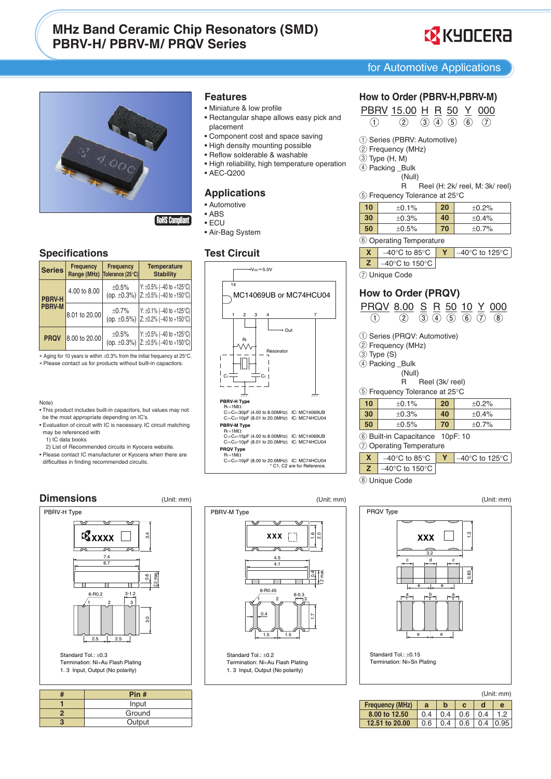# **MHz Band Ceramic Chip Resonators (SMD) PBRV-H/PBRV-M/PRQV Series**



for Automotive Applications



## **Specifications**

| <b>Series</b> | Frequency<br>Range (MHz) | <b>Frequency</b><br>Tolerance (25°C) | <b>Temperature</b><br><b>Stability</b>                     |
|---------------|--------------------------|--------------------------------------|------------------------------------------------------------|
| <b>PBRV-H</b> | 4.00 to 8.00             | ±0.5%<br>(op. $\pm 0.3\%$ )          | Y: ±0.5% (-40 to +125°C)<br>$Z: \pm 0.5\%$ (-40 to +150°C) |
| <b>PBRV-M</b> | 8.01 to 20.00            | ±0.7%<br>(op. $\pm 0.5\%$ )          | Y: ±0.1% (-40 to +125°C)<br>$Z: \pm 0.2\%$ (-40 to +150°C) |
| <b>PRQV</b>   | 8.00 to 20.00            | ±0.5%<br>(op. $\pm 0.3\%$ )          | Y: ±0.5% (-40 to +125°C)<br>$Z: \pm 0.5\%$ (-40 to +150°C) |

\* Aging for 10 years is within ±0.3% from the initial frequency at 25°C. \* Please contact us for products without built-in capacitors.

#### Note)

- . This product includes built-in capacitors, but values may not be the most appropriate depending on IC's.
- · Evaluation of circuit with IC is necessary. IC circuit matching may be referenced with
	- 1) IC data books
	- 2) List of Recommended circuits in Kyocera website.
- · Please contact IC manufacturer or Kyocera when there are difficulties in finding recommended circuits.

#### **Dimensions**

![](_page_2_Figure_15.jpeg)

| Pin #  |  |
|--------|--|
| Input  |  |
| Ground |  |
| Output |  |
|        |  |

#### **Features**

- Miniature & low profile
- Rectangular shape allows easy pick and placement
- Component cost and space saving
- . High density mounting possible
- · Reflow solderable & washable
- · High reliability, high temperature operation
- AEC-Q200

#### **Applications**

- Automotive
- $\bullet$  ABS
- $\cdot$  ECU
- Air-Bag System

#### **Test Circuit**

![](_page_2_Figure_31.jpeg)

## How to Order (PBRV-H, PBRV-M)

 $\frac{\text{PBRV}}{()}\frac{15.00}{()} \frac{\text{H}}{()}\frac{\text{R}}{()}\frac{50}{()}\frac{\text{Y}}{()}\frac{000}{()}$ 

- 1) Series (PBRV: Automotive)
- 2 Frequency (MHz)
- $(3)$  Type  $(H, M)$
- 4 Packing \_Bulk
	- (Null)

R Reel (H: 2k/ reel, M: 3k/ reel)

| ು Frequency Tolerance at 25°C |  |
|-------------------------------|--|
|                               |  |

| 10                                       | ±0.1%                               | 20 | ±0.2% |  |  |  |
|------------------------------------------|-------------------------------------|----|-------|--|--|--|
| 30                                       | ±0.3%                               |    | ±0.4% |  |  |  |
| 50                                       | ±0.5%                               | 70 | ±0.7% |  |  |  |
|                                          | (6) Operating Temperature           |    |       |  |  |  |
| X                                        | $-40^{\circ}$ C to 125 $^{\circ}$ C |    |       |  |  |  |
| z<br>$-40^{\circ}$ C to 150 $^{\circ}$ C |                                     |    |       |  |  |  |
| <b>Unique Code</b>                       |                                     |    |       |  |  |  |

## How to Order (PRQV)

|                                                  |                               |                                    | $\circled{3}$ |                 |    |  | <u>PRQV 8.00 S R 50 10 Y 000</u><br>$(4)$ $(5)$ $(6)$ $(7)$<br>$\left( 8\right)$ |  |  |  |  |  |
|--------------------------------------------------|-------------------------------|------------------------------------|---------------|-----------------|----|--|----------------------------------------------------------------------------------|--|--|--|--|--|
|                                                  |                               |                                    |               |                 |    |  |                                                                                  |  |  |  |  |  |
|                                                  | (1) Series (PRQV: Automotive) |                                    |               |                 |    |  |                                                                                  |  |  |  |  |  |
|                                                  |                               | 2 Frequency (MHz)                  |               |                 |    |  |                                                                                  |  |  |  |  |  |
| $(3)$ Type $(S)$                                 |                               |                                    |               |                 |    |  |                                                                                  |  |  |  |  |  |
|                                                  |                               | (4) Packing Bulk                   |               |                 |    |  |                                                                                  |  |  |  |  |  |
|                                                  |                               | (Null)                             |               |                 |    |  |                                                                                  |  |  |  |  |  |
|                                                  |                               |                                    |               | Reel (3k/ reel) |    |  |                                                                                  |  |  |  |  |  |
| $(5)$ Frequency Tolerance at 25 $\rm{^{\circ}C}$ |                               |                                    |               |                 |    |  |                                                                                  |  |  |  |  |  |
|                                                  |                               |                                    |               |                 |    |  |                                                                                  |  |  |  |  |  |
| 10                                               |                               | $+0.1%$                            |               |                 | 20 |  | ±0.2%                                                                            |  |  |  |  |  |
| 30                                               |                               | $+0.3%$                            |               |                 | 40 |  | $+0.4%$                                                                          |  |  |  |  |  |
| 50                                               |                               | $+0.5%$                            |               |                 | 70 |  | $+0.7%$                                                                          |  |  |  |  |  |
|                                                  |                               | 6 Built-in Capacitance 10pF: 10    |               |                 |    |  |                                                                                  |  |  |  |  |  |
|                                                  |                               | <b>Operating Temperature</b>       |               |                 |    |  |                                                                                  |  |  |  |  |  |
| $\mathbf x$                                      |                               | $-40^{\circ}$ C to 85 $^{\circ}$ C |               |                 | Υ  |  | $-40^{\circ}$ C to 125 $^{\circ}$ C                                              |  |  |  |  |  |

8 Unique Code

![](_page_2_Figure_46.jpeg)

|  | (Unit: mm |  |  |
|--|-----------|--|--|
|  |           |  |  |

| <b>Frequency (MHz)</b> | a   |                         |  |                          |
|------------------------|-----|-------------------------|--|--------------------------|
| 8.00 to 12.50          |     | $0.4$   0.4   0.6   0.4 |  | 1.2                      |
| 12.51 to 20.00         | 0.6 |                         |  | $0.4$   0.6   0.4   0.95 |

![](_page_2_Figure_49.jpeg)

Standard Tol.: +0.2 Termination: Ni+Au Flash Plating 1.3 Input, Output (No polarity)

(Unit: mm)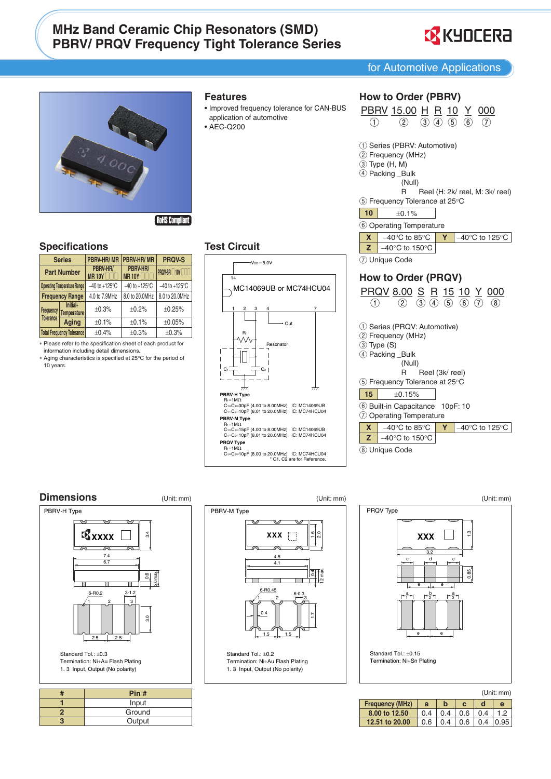# **MHz Band Ceramic Chip Resonators (SMD) PBRV/ PRQV Frequency Tight Tolerance Series**

![](_page_3_Picture_1.jpeg)

for Automotive Applications

3 4.000

**RoHS Compliant** 

#### **Specifications**

| <b>Series</b>                      |                                  | <b>PBRV-HR/MR</b>         | PBRV-HR/MR                | <b>PRQV-S</b>                                        |  |
|------------------------------------|----------------------------------|---------------------------|---------------------------|------------------------------------------------------|--|
| <b>Part Number</b>                 |                                  | PBRV-HR/<br><b>MR 10Y</b> | PBRV-HR/<br><b>MR10Y</b>  | PRQV-SR <sub>10</sub> Y <sub>10</sub> T <sub>1</sub> |  |
| <b>Operating Temperature Range</b> |                                  | $-40$ to $+125^{\circ}$ C | $-40$ to $+125^{\circ}$ C | $-40$ to $+125^{\circ}$ C                            |  |
|                                    | <b>Frequency Range</b>           | 4.0 to 7.9MHz             | 8.0 to 20.0MHz            | 8.0 to 20.0MHz                                       |  |
| Frequency                          | $Initial+$<br><b>Temperature</b> | ±0.3%                     | ±0.2%                     | ±0.25%                                               |  |
| Tolerance                          | Aging                            | ±0.1%                     | ±0.1%                     | ±0.05%                                               |  |
|                                    | <b>Total Frequency Tolerance</b> | ±0.4%                     | ±0.3%                     | ±0.3%                                                |  |

\* Please refer to the specification sheet of each product for information including detail dimensions.

\* Aging characteristics is specified at 25°C for the period of 10 years.

![](_page_3_Figure_8.jpeg)

- Improved frequency tolerance for CAN-BUS application of automotive
- AEC-Q200

| 3 | How to Order (PBRV)<br><b>PBRV</b> 15.00 H R 10 Y 000<br>(1) 2 3 4 5 6 7                                                                                                 |
|---|--------------------------------------------------------------------------------------------------------------------------------------------------------------------------|
|   | 1) Series (PBRV: Automotive)<br>2 Frequency (MHz)<br>3 Type (H, M)<br>4 Packing _Bulk<br>(Null)<br>Reel (H: 2k/ reel, M: 3k/ reel)<br>R<br>5 Frequency Tolerance at 25°C |
|   | 10<br>±0.1%                                                                                                                                                              |
|   | 6 Operating Temperature                                                                                                                                                  |
|   | $-40^{\circ}$ C to 125 $^{\circ}$ C<br>$-40^{\circ}$ C to 85 $^{\circ}$ C<br>X<br>Υ                                                                                      |
|   | Z<br>$-40^{\circ}$ C to 150 $^{\circ}$ C                                                                                                                                 |
|   | 7) Unique Code                                                                                                                                                           |
|   |                                                                                                                                                                          |
|   | How to Order (PRQV)                                                                                                                                                      |
|   | <u>PRQV 8.00 S R 15 10 Y 000</u><br>$(3)$ $(4)$ $(5)$ $(6)$<br>Ŧ                                                                                                         |
|   | 1) Series (PRQV: Automotive)<br>2 Frequency (MHz)<br>3 Type (S)<br>4 Packing _Bulk<br>(Null)<br>Reel (3k/ reel)<br>R                                                     |
|   | 5 Frequency Tolerance at 25°C                                                                                                                                            |
|   | 15<br>±0.15%                                                                                                                                                             |
|   | 6 Built-in Capacitance 10pF: 10<br>7 Operating Temperature                                                                                                               |
|   | $\mathbf{X}$<br>$-40^{\circ}$ C to 85 $^{\circ}$ C<br>$-40^{\circ}$ C to 125 $^{\circ}$ C<br>Υ                                                                           |

 $-40^{\circ}$ C to 150 $^{\circ}$ C

 $\mathbf{z}$ 

8 Unique Code

# **Test Circuit**

![](_page_3_Figure_13.jpeg)

## **Dimensions**

![](_page_3_Figure_15.jpeg)

| Pin #  |
|--------|
| Input  |
| Ground |
| Output |

(Unit: mm) PBRV-M Type **XXX**  $4.5$  $4.1$ 6-R0.45

Standard Tol.: ±0.2 Termination: Ni+Au Flash Plating 1.3 Input, Output (No polarity)

![](_page_3_Figure_19.jpeg)

| (Unit: mm)             |     |     |     |     |                 |  |  |  |  |
|------------------------|-----|-----|-----|-----|-----------------|--|--|--|--|
| <b>Frequency (MHz)</b> | a   |     |     |     | e               |  |  |  |  |
| 8.00 to 12.50          | 0.4 | 0.4 | 0.6 | 0.4 | 1.2             |  |  |  |  |
| 12.51 to 20.00         | 0.6 | 0.4 | 0.6 |     | $0.4 \mid 0.95$ |  |  |  |  |